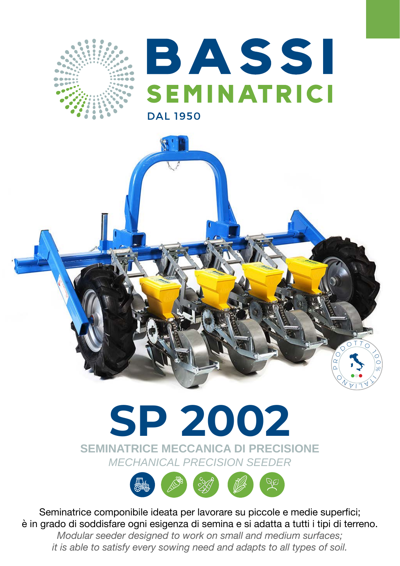

# BJASSI SEMINATRICI **DAL 1950**



## **SEMINATRICE MECCANICA DI PRECISIONE** *MECHANICAL PRECISION SEEDER*

![](_page_0_Picture_5.jpeg)

Seminatrice componibile ideata per lavorare su piccole e medie superfici; è in grado di soddisfare ogni esigenza di semina e si adatta a tutti i tipi di terreno. *Modular seeder designed to work on small and medium surfaces; it is able to satisfy every sowing need and adapts to all types of soil.*